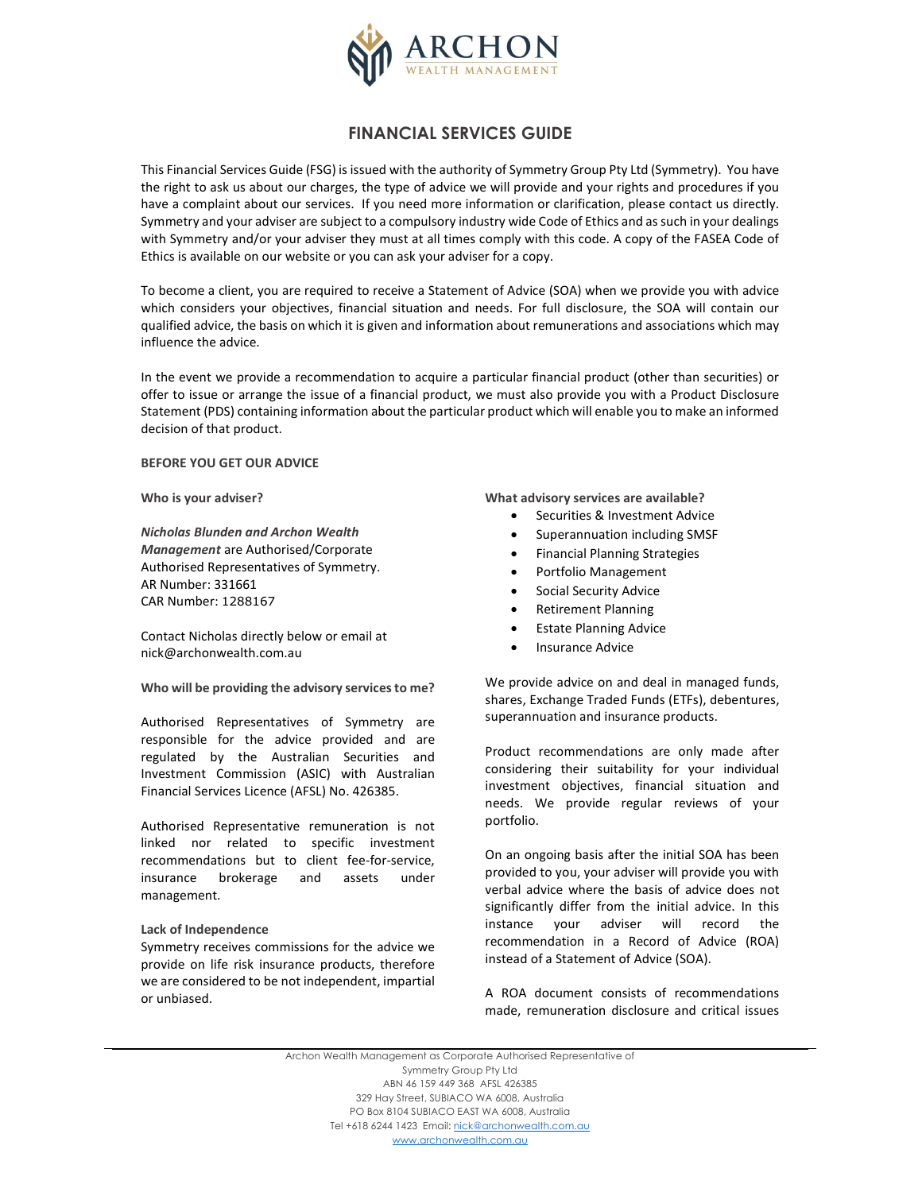

# FINANCIAL SERVICES GUIDE

This Financial Services Guide (FSG) is issued with the authority of Symmetry Group Pty Ltd (Symmetry). You have the right to ask us about our charges, the type of advice we will provide and your rights and procedures if you have a complaint about our services. If you need more information or clarification, please contact us directly. Symmetry and your adviser are subject to a compulsory industry wide Code of Ethics and as such in your dealings with Symmetry and/or your adviser they must at all times comply with this code. A copy of the FASEA Code of Ethics is available on our website or you can ask your adviser for a copy.

To become a client, you are required to receive a Statement of Advice (SOA) when we provide you with advice which considers your objectives, financial situation and needs. For full disclosure, the SOA will contain our qualified advice, the basis on which it is given and information about remunerations and associations which may influence the advice.

In the event we provide a recommendation to acquire a particular financial product (other than securities) or offer to issue or arrange the issue of a financial product, we must also provide you with a Product Disclosure Statement (PDS) containing information about the particular product which will enable you to make an informed decision of that product.

## BEFORE YOU GET OUR ADVICE

Who is your adviser?

Nicholas Blunden and Archon Wealth Management are Authorised/Corporate Authorised Representatives of Symmetry. AR Number: 331661 CAR Number: 1288167

Contact Nicholas directly below or email at nick@archonwealth.com.au

Who will be providing the advisory services to me?

Authorised Representatives of Symmetry are responsible for the advice provided and are regulated by the Australian Securities and Investment Commission (ASIC) with Australian Financial Services Licence (AFSL) No. 426385.

Authorised Representative remuneration is not linked nor related to specific investment recommendations but to client fee-for-service, insurance brokerage and assets under management.

#### Lack of Independence

Symmetry receives commissions for the advice we provide on life risk insurance products, therefore we are considered to be not independent, impartial or unbiased.

What advisory services are available?

- Securities & Investment Advice
- Superannuation including SMSF
- Financial Planning Strategies
- Portfolio Management
- Social Security Advice
- Retirement Planning
- **•** Estate Planning Advice
- Insurance Advice

We provide advice on and deal in managed funds, shares, Exchange Traded Funds (ETFs), debentures, superannuation and insurance products.

Product recommendations are only made after considering their suitability for your individual investment objectives, financial situation and needs. We provide regular reviews of your portfolio.

On an ongoing basis after the initial SOA has been provided to you, your adviser will provide you with verbal advice where the basis of advice does not significantly differ from the initial advice. In this instance your adviser will record the recommendation in a Record of Advice (ROA) instead of a Statement of Advice (SOA).

A ROA document consists of recommendations made, remuneration disclosure and critical issues

Archon Wealth Management as Corporate Authorised Representative of Symmetry Group Pty Ltd ABN 46 159 449 368 AFSL 426385 329 Hay Street, SUBIACO WA 6008, Australia PO Box 8104 SUBIACO EAST WA 6008, Australia Tel +618 6244 1423 Email: nick@archonwealth.com.au www.archonwealth.com.au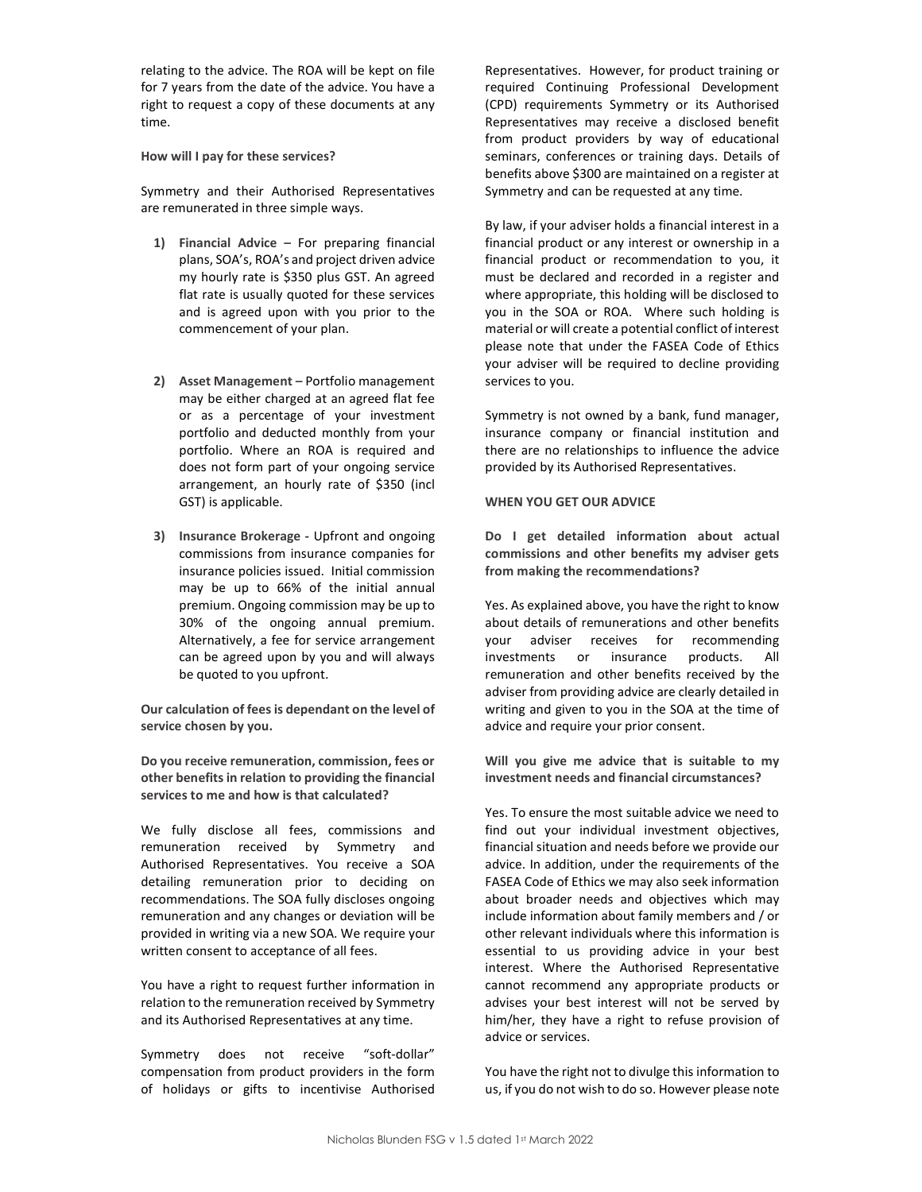relating to the advice. The ROA will be kept on file for 7 years from the date of the advice. You have a right to request a copy of these documents at any time.

How will I pay for these services?

Symmetry and their Authorised Representatives are remunerated in three simple ways.

- 1) Financial Advice For preparing financial plans, SOA's, ROA's and project driven advice my hourly rate is \$350 plus GST. An agreed flat rate is usually quoted for these services and is agreed upon with you prior to the commencement of your plan.
- 2) Asset Management Portfolio management may be either charged at an agreed flat fee or as a percentage of your investment portfolio and deducted monthly from your portfolio. Where an ROA is required and does not form part of your ongoing service arrangement, an hourly rate of \$350 (incl GST) is applicable.
- 3) Insurance Brokerage Upfront and ongoing commissions from insurance companies for insurance policies issued. Initial commission may be up to 66% of the initial annual premium. Ongoing commission may be up to 30% of the ongoing annual premium. Alternatively, a fee for service arrangement can be agreed upon by you and will always be quoted to you upfront.

Our calculation of fees is dependant on the level of service chosen by you.

Do you receive remuneration, commission, fees or other benefits in relation to providing the financial services to me and how is that calculated?

We fully disclose all fees, commissions and remuneration received by Symmetry and Authorised Representatives. You receive a SOA detailing remuneration prior to deciding on recommendations. The SOA fully discloses ongoing remuneration and any changes or deviation will be provided in writing via a new SOA. We require your written consent to acceptance of all fees.

You have a right to request further information in relation to the remuneration received by Symmetry and its Authorised Representatives at any time.

Symmetry does not receive "soft-dollar" compensation from product providers in the form of holidays or gifts to incentivise Authorised Representatives. However, for product training or required Continuing Professional Development (CPD) requirements Symmetry or its Authorised Representatives may receive a disclosed benefit from product providers by way of educational seminars, conferences or training days. Details of benefits above \$300 are maintained on a register at Symmetry and can be requested at any time.

By law, if your adviser holds a financial interest in a financial product or any interest or ownership in a financial product or recommendation to you, it must be declared and recorded in a register and where appropriate, this holding will be disclosed to you in the SOA or ROA. Where such holding is material or will create a potential conflict of interest please note that under the FASEA Code of Ethics your adviser will be required to decline providing services to you.

Symmetry is not owned by a bank, fund manager, insurance company or financial institution and there are no relationships to influence the advice provided by its Authorised Representatives.

### WHEN YOU GET OUR ADVICE

Do I get detailed information about actual commissions and other benefits my adviser gets from making the recommendations?

Yes. As explained above, you have the right to know about details of remunerations and other benefits your adviser receives for recommending investments or insurance products. All remuneration and other benefits received by the adviser from providing advice are clearly detailed in writing and given to you in the SOA at the time of advice and require your prior consent.

Will you give me advice that is suitable to my investment needs and financial circumstances?

Yes. To ensure the most suitable advice we need to find out your individual investment objectives, financial situation and needs before we provide our advice. In addition, under the requirements of the FASEA Code of Ethics we may also seek information about broader needs and objectives which may include information about family members and / or other relevant individuals where this information is essential to us providing advice in your best interest. Where the Authorised Representative cannot recommend any appropriate products or advises your best interest will not be served by him/her, they have a right to refuse provision of advice or services.

You have the right not to divulge this information to us, if you do not wish to do so. However please note